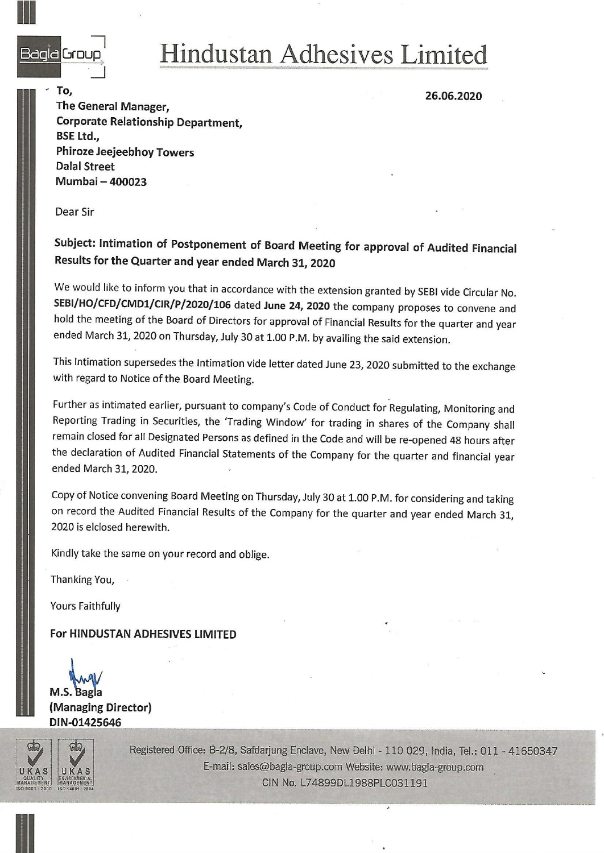

## Begle Group Hindustan Adhesives Limited

To, 26.06.2020<br>The General Manager, 2008.2020 Corporate Relationship Department, BSE Ltd., Phiroze Jeejeebhoy Towers Dalal Street Mumbai — 400023

Dear Sir

Subject: Intimation of Postponement of Board Meeting for approval of Audited Financial Results for the Quarter and year ended March 31, 2020

We would like to inform you that in accordance with the extension granted by SEBI vide Circular No.<br>SEBI/HO/CFD/CMD1/CIR/P/2020/106 dated June 24, 2020 the company proposes to convene and<br>hold the meeting of the Board of D ended March 31, 2020 on Thursday, July 30 at 1.00 P.M. by availing the said extension.

This Intimation supersedes the Intimation vide letter dated June 23, 2020 submitted to the exchange with regard to Notice of the Board Meeting.

Further as intimated earlier, pursuant to company's Code of Conduct for Regulating, Monitoring and Reporting Trading in Securities, the 'Trading Window' for trading in shares of the Company shall remain closed for all Designated Persons as defined in the Code and will be re-opened 48 hours after the declaration of Audited Financial Statements of the Company for the quarter and financial year ended March 31, 2020.

Copy of Notice convening Board Meeting on Thursday, July 30 at 1.00 P.M. for considering and taking on record the Audited Financial Results of the Company for the quarter and year ended March 31, 2020 is elclosed herewith.

Kindly take the same on your record and oblige.

Thanking You,

Yours Faithfully

For HINDUSTAN ADHESIVES LIMITED

M.S. Bagla (Managing Director) DIN-01425646



Registered Office: B-2/8, Safdarjung Enclave, New Delhi - 110 029, India, Tel.: 011 - 41650347 E-mail: sales@bagla-group.com Website: www.bagla-group.com CIN No. L74899DL1988PLC031191